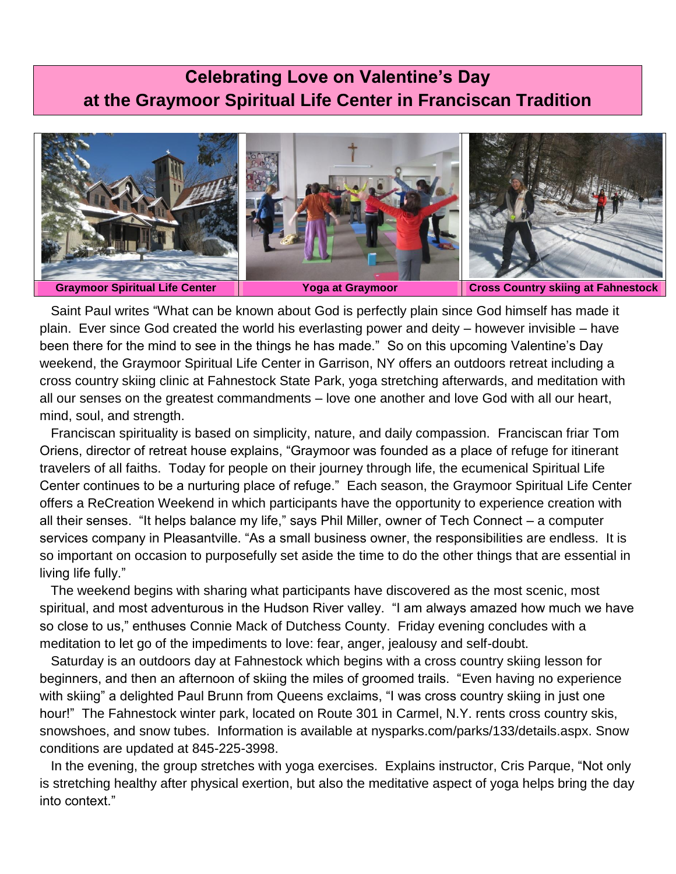## **Celebrating Love on Valentine's Day at the Graymoor Spiritual Life Center in Franciscan Tradition**



 Saint Paul writes "What can be known about God is perfectly plain since God himself has made it plain. Ever since God created the world his everlasting power and deity – however invisible – have been there for the mind to see in the things he has made." So on this upcoming Valentine's Day weekend, the Graymoor Spiritual Life Center in Garrison, NY offers an outdoors retreat including a cross country skiing clinic at Fahnestock State Park, yoga stretching afterwards, and meditation with all our senses on the greatest commandments – love one another and love God with all our heart, mind, soul, and strength.

 Franciscan spirituality is based on simplicity, nature, and daily compassion. Franciscan friar Tom Oriens, director of retreat house explains, "Graymoor was founded as a place of refuge for itinerant travelers of all faiths. Today for people on their journey through life, the ecumenical Spiritual Life Center continues to be a nurturing place of refuge." Each season, the Graymoor Spiritual Life Center offers a ReCreation Weekend in which participants have the opportunity to experience creation with all their senses. "It helps balance my life," says Phil Miller, owner of Tech Connect – a computer services company in Pleasantville. "As a small business owner, the responsibilities are endless. It is so important on occasion to purposefully set aside the time to do the other things that are essential in living life fully."

 The weekend begins with sharing what participants have discovered as the most scenic, most spiritual, and most adventurous in the Hudson River valley. "I am always amazed how much we have so close to us," enthuses Connie Mack of Dutchess County. Friday evening concludes with a meditation to let go of the impediments to love: fear, anger, jealousy and self-doubt.

 Saturday is an outdoors day at Fahnestock which begins with a cross country skiing lesson for beginners, and then an afternoon of skiing the miles of groomed trails. "Even having no experience with skiing" a delighted Paul Brunn from Queens exclaims, "I was cross country skiing in just one hour!" The Fahnestock winter park, located on Route 301 in Carmel, N.Y. rents cross country skis, snowshoes, and snow tubes. Information is available at nysparks.com/parks/133/details.aspx. Snow conditions are updated at 845-225-3998.

 In the evening, the group stretches with yoga exercises. Explains instructor, Cris Parque, "Not only is stretching healthy after physical exertion, but also the meditative aspect of yoga helps bring the day into context."